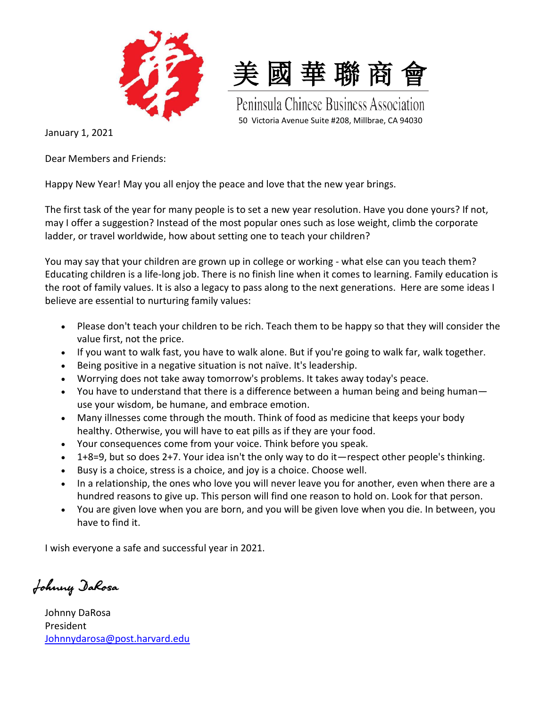



Peninsula Chinese Business Association 50 Victoria Avenue Suite #208, Millbrae, CA 94030

January 1, 2021

Dear Members and Friends:

Happy New Year! May you all enjoy the peace and love that the new year brings.

The first task of the year for many people is to set a new year resolution. Have you done yours? If not, may I offer a suggestion? Instead of the most popular ones such as lose weight, climb the corporate ladder, or travel worldwide, how about setting one to teach your children?

You may say that your children are grown up in college or working - what else can you teach them? Educating children is a life-long job. There is no finish line when it comes to learning. Family education is the root of family values. It is also a legacy to pass along to the next generations. Here are some ideas I believe are essential to nurturing family values:

- Please don't teach your children to be rich. Teach them to be happy so that they will consider the value first, not the price.
- If you want to walk fast, you have to walk alone. But if you're going to walk far, walk together.
- Being positive in a negative situation is not naïve. It's leadership.
- Worrying does not take away tomorrow's problems. It takes away today's peace.
- You have to understand that there is a difference between a human being and being human use your wisdom, be humane, and embrace emotion.
- Many illnesses come through the mouth. Think of food as medicine that keeps your body healthy. Otherwise, you will have to eat pills as if they are your food.
- Your consequences come from your voice. Think before you speak.
- 1+8=9, but so does 2+7. Your idea isn't the only way to do it—respect other people's thinking.
- Busy is a choice, stress is a choice, and joy is a choice. Choose well.
- In a relationship, the ones who love you will never leave you for another, even when there are a hundred reasons to give up. This person will find one reason to hold on. Look for that person.
- You are given love when you are born, and you will be given love when you die. In between, you have to find it.

I wish everyone a safe and successful year in 2021.

Johnny DaRosa

Johnny DaRosa President [Johnnydarosa@post.harvard.edu](mailto:Johnnydarosa@post.harvard.edu)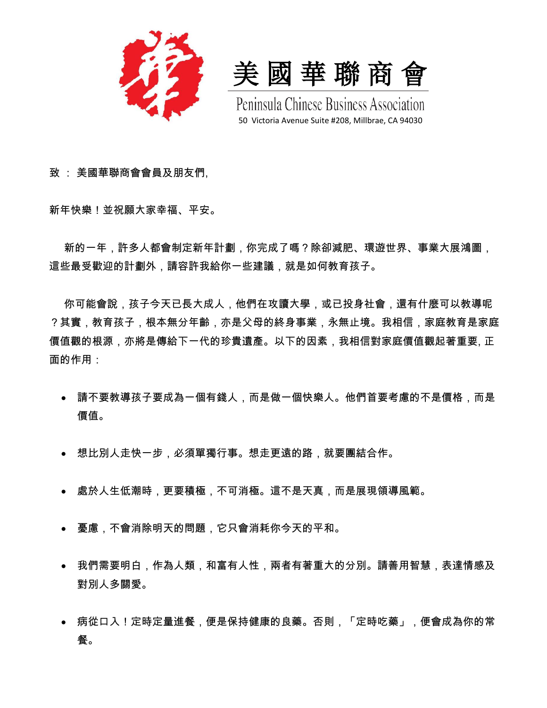

美 國 華 聯 商 會

Peninsula Chinese Business Association 50 Victoria Avenue Suite #208, Millbrae, CA 94030

致 : 美國華聯商會會員及朋友們,

新年快樂!並祝願大家幸福、平安。

新的一年,許多人都會制定新年計劃,你完成了嗎?除卻減肥、環遊世界、事業大展鴻圖, 這些最受歡迎的計劃外,請容許我給你一些建議,就是如何教育孩子。

你可能會說,孩子今天已長大成人,他們在攻讀大學,或已投身社會,還有什麼可以教導呢 ?其實,教育孩子,根本無分年齡,亦是父母的終身事業,永無止境。我相信,家庭教育是家庭 價值觀的根源,亦將是傳給下一代的珍貴遺產。以下的因素,我相信對家庭價值觀起著重要, 正 面的作用:

- 請不要教導孩子要成為一個有錢人,而是做一個快樂人。他們首要考慮的不是價格,而是 價值。
- 想比別人走快一步,必須單獨行事。想走更遠的路,就要團結合作。
- 處於人生低潮時,更要積極,不可消極。這不是天真,而是展現領導風範。
- 憂慮,不會消除明天的問題,它只會消耗你今天的平和。
- 我們需要明白,作為人類,和富有人性,兩者有著重大的分別。請善用智慧,表達情感及 對別人多關愛。
- 病從口入!定時定量進餐,便是保持健康的良藥。否則,「定時吃藥」,便會成為你的常 餐。